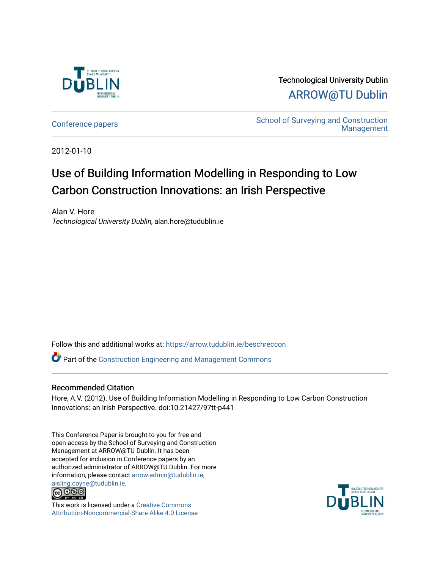

Technological University Dublin [ARROW@TU Dublin](https://arrow.tudublin.ie/) 

[Conference papers](https://arrow.tudublin.ie/beschreccon) [School of Surveying and Construction](https://arrow.tudublin.ie/beschrec)  [Management](https://arrow.tudublin.ie/beschrec) 

2012-01-10

# Use of Building Information Modelling in Responding to Low Carbon Construction Innovations: an Irish Perspective

Alan V. Hore Technological University Dublin, alan.hore@tudublin.ie

Follow this and additional works at: [https://arrow.tudublin.ie/beschreccon](https://arrow.tudublin.ie/beschreccon?utm_source=arrow.tudublin.ie%2Fbeschreccon%2F6&utm_medium=PDF&utm_campaign=PDFCoverPages)

Part of the [Construction Engineering and Management Commons](http://network.bepress.com/hgg/discipline/253?utm_source=arrow.tudublin.ie%2Fbeschreccon%2F6&utm_medium=PDF&utm_campaign=PDFCoverPages)

# Recommended Citation

Hore, A.V. (2012). Use of Building Information Modelling in Responding to Low Carbon Construction Innovations: an Irish Perspective. doi:10.21427/97tt-p441

This Conference Paper is brought to you for free and open access by the School of Surveying and Construction Management at ARROW@TU Dublin. It has been accepted for inclusion in Conference papers by an authorized administrator of ARROW@TU Dublin. For more information, please contact [arrow.admin@tudublin.ie,](mailto:arrow.admin@tudublin.ie,%20aisling.coyne@tudublin.ie) 



This work is licensed under a [Creative Commons](http://creativecommons.org/licenses/by-nc-sa/4.0/) [Attribution-Noncommercial-Share Alike 4.0 License](http://creativecommons.org/licenses/by-nc-sa/4.0/)

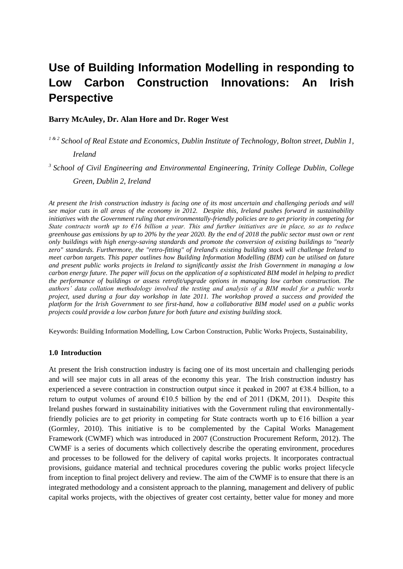# **Use of Building Information Modelling in responding to Low Carbon Construction Innovations: An Irish Perspective**

## **Barry McAuley, Dr. Alan Hore and Dr. Roger West**

*1 & 2 School of Real Estate and Economics, Dublin Institute of Technology, Bolton street, Dublin 1, Ireland* 

<sup>3</sup> School of Civil Engineering and Environmental Engineering, Trinity College Dublin, College

*Green, Dublin 2, Ireland*

*At present the Irish construction industry is facing one of its most uncertain and challenging periods and will see major cuts in all areas of the economy in 2012. Despite this, Ireland pushes forward in sustainability initiatives with the Government ruling that environmentally-friendly policies are to get priority in competing for State contracts worth up to €16 billion a year. This and further initiatives are in place, so as to reduce greenhouse gas emissions by up to 20% by the year 2020. By the end of 2018 the public sector must own or rent only buildings with high energy-saving standards and promote the conversion of existing buildings to "nearly zero" standards. Furthermore, the "retro-fitting" of Ireland's existing building stock will challenge Ireland to meet carbon targets. This paper outlines how Building Information Modelling (BIM) can be utilised on future and present public works projects in Ireland to significantly assist the Irish Government in managing a low carbon energy future. The paper will focus on the application of a sophisticated BIM model in helping to predict the performance of buildings or assess retrofit/upgrade options in managing low carbon construction. The authors' data collation methodology involved the testing and analysis of a BIM model for a public works project, used during a four day workshop in late 2011. The workshop proved a success and provided the platform for the Irish Government to see first-hand, how a collaborative BIM model used on a public works projects could provide a low carbon future for both future and existing building stock.*

Keywords: Building Information Modelling, Low Carbon Construction, Public Works Projects, Sustainability,

#### **1.0 Introduction**

At present the Irish construction industry is facing one of its most uncertain and challenging periods and will see major cuts in all areas of the economy this year. The Irish construction industry has experienced a severe contraction in construction output since it peaked in 2007 at  $\epsilon$ 38.4 billion, to a return to output volumes of around  $\epsilon$ 10.5 billion by the end of 2011 (DKM, 2011). Despite this Ireland pushes forward in sustainability initiatives with the Government ruling that environmentallyfriendly policies are to get priority in competing for State contracts worth up to €16 billion a year (Gormley, 2010). This initiative is to be complemented by the Capital Works Management Framework (CWMF) which was introduced in 2007 (Construction Procurement Reform, 2012). The CWMF is a series of documents which collectively describe the operating environment, procedures and processes to be followed for the delivery of capital works projects. It incorporates contractual provisions, guidance material and technical procedures covering the public works project lifecycle from inception to final project delivery and review. The aim of the CWMF is to ensure that there is an integrated methodology and a consistent approach to the planning, management and delivery of public capital works projects, with the objectives of greater cost certainty, better value for money and more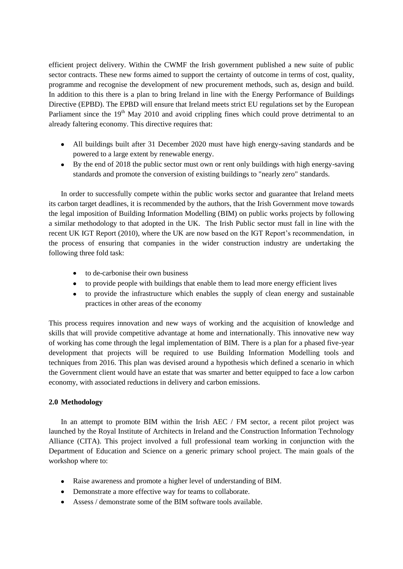efficient project delivery. Within the CWMF the Irish government published a new suite of public sector contracts. These new forms aimed to support the certainty of outcome in terms of cost, quality, programme and recognise the development of new procurement methods, such as, design and build. In addition to this there is a plan to bring Ireland in line with the Energy Performance of Buildings Directive (EPBD). The EPBD will ensure that Ireland meets strict EU regulations set by the European Parliament since the 19<sup>th</sup> May 2010 and avoid crippling fines which could prove detrimental to an already faltering economy. This directive requires that:

- All buildings built after 31 December 2020 must have high energy-saving standards and be powered to a large extent by renewable energy.
- By the end of 2018 the public sector must own or rent only buildings with high energy-saving standards and promote the conversion of existing buildings to "nearly zero" standards.

In order to successfully compete within the public works sector and guarantee that Ireland meets its carbon target deadlines, it is recommended by the authors, that the Irish Government move towards the legal imposition of Building Information Modelling (BIM) on public works projects by following a similar methodology to that adopted in the UK. The Irish Public sector must fall in line with the recent UK IGT Report (2010), where the UK are now based on the IGT Report's recommendation, in the process of ensuring that companies in the wider construction industry are undertaking the following three fold task:

- to de-carbonise their own business
- to provide people with buildings that enable them to lead more energy efficient lives
- to provide the infrastructure which enables the supply of clean energy and sustainable  $\bullet$ practices in other areas of the economy

This process requires innovation and new ways of working and the acquisition of knowledge and skills that will provide competitive advantage at home and internationally. This innovative new way of working has come through the legal implementation of BIM. There is a plan for a phased five-year development that projects will be required to use Building Information Modelling tools and techniques from 2016. This plan was devised around a hypothesis which defined a scenario in which the Government client would have an estate that was smarter and better equipped to face a low carbon economy, with associated reductions in delivery and carbon emissions.

## **2.0 Methodology**

In an attempt to promote BIM within the Irish AEC / FM sector, a recent pilot project was launched by the Royal Institute of Architects in Ireland and the Construction Information Technology Alliance (CITA). This project involved a full professional team working in conjunction with the Department of Education and Science on a generic primary school project. The main goals of the workshop where to:

- Raise awareness and promote a higher level of understanding of BIM.
- Demonstrate a more effective way for teams to collaborate.
- Assess / demonstrate some of the BIM software tools available.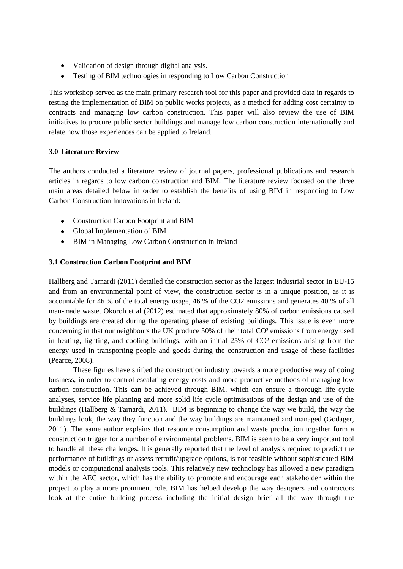- Validation of design through digital analysis.
- $\bullet$ Testing of BIM technologies in responding to Low Carbon Construction

This workshop served as the main primary research tool for this paper and provided data in regards to testing the implementation of BIM on public works projects, as a method for adding cost certainty to contracts and managing low carbon construction. This paper will also review the use of BIM initiatives to procure public sector buildings and manage low carbon construction internationally and relate how those experiences can be applied to Ireland.

# **3.0 Literature Review**

The authors conducted a literature review of journal papers, professional publications and research articles in regards to low carbon construction and BIM. The literature review focused on the three main areas detailed below in order to establish the benefits of using BIM in responding to Low Carbon Construction Innovations in Ireland:

- Construction Carbon Footprint and BIM
- Global Implementation of BIM
- BIM in Managing Low Carbon Construction in Ireland

## **3.1 Construction Carbon Footprint and BIM**

Hallberg and Tarnardi (2011) detailed the construction sector as the largest industrial sector in EU-15 and from an environmental point of view, the construction sector is in a unique position, as it is accountable for 46 % of the total energy usage, 46 % of the CO2 emissions and generates 40 % of all man-made waste. Okoroh et al (2012) estimated that approximately 80% of carbon emissions caused by buildings are created during the operating phase of existing buildings. This issue is even more concerning in that our neighbours the UK produce 50% of their total CO² emissions from energy used in heating, lighting, and cooling buildings, with an initial 25% of CO² emissions arising from the energy used in transporting people and goods during the construction and usage of these facilities (Pearce, 2008).

These figures have shifted the construction industry towards a more productive way of doing business, in order to control escalating energy costs and more productive methods of managing low carbon construction. This can be achieved through BIM, which can ensure a thorough life cycle analyses, service life planning and more solid life cycle optimisations of the design and use of the buildings (Hallberg & Tarnardi, 2011). BIM is beginning to change the way we build, the way the buildings look, the way they function and the way buildings are maintained and managed (Godager, 2011). The same author explains that resource consumption and waste production together form a construction trigger for a number of environmental problems. BIM is seen to be a very important tool to handle all these challenges. It is generally reported that the level of analysis required to predict the performance of buildings or assess retrofit/upgrade options, is not feasible without sophisticated BIM models or computational analysis tools. This relatively new technology has allowed a new paradigm within the AEC sector, which has the ability to promote and encourage each stakeholder within the project to play a more prominent role. BIM has helped develop the way designers and contractors look at the entire building process including the initial design brief all the way through the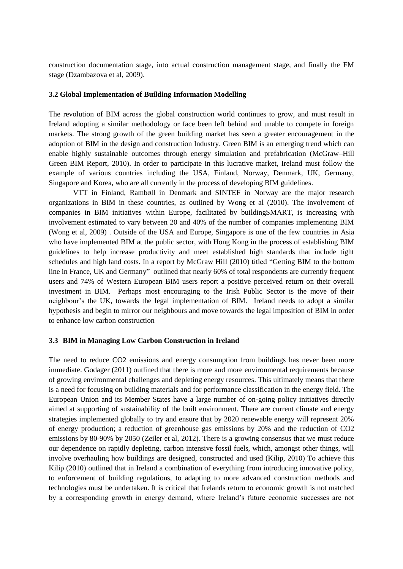construction documentation stage, into actual construction management stage, and finally the FM stage (Dzambazova et al, 2009).

#### **3.2 Global Implementation of Building Information Modelling**

The revolution of BIM across the global construction world continues to grow, and must result in Ireland adopting a similar methodology or face been left behind and unable to compete in foreign markets. The strong growth of the green building market has seen a greater encouragement in the adoption of BIM in the design and construction Industry. Green BIM is an emerging trend which can enable highly sustainable outcomes through energy simulation and prefabrication (McGraw–Hill [Green BIM Report,](http://images.autodesk.com/adsk/files/mhc_green_bim_smartmarket_report_(2010).pdf) 2010). In order to participate in this lucrative market, Ireland must follow the example of various countries including the USA, Finland, Norway, Denmark, UK, Germany, Singapore and Korea, who are all currently in the process of developing BIM guidelines.

VTT in Finland, Rambøll in Denmark and SINTEF in Norway are the major research organizations in BIM in these countries, as outlined by Wong et al (2010). The involvement of companies in BIM initiatives within Europe, facilitated by buildingSMART, is increasing with involvement estimated to vary between 20 and 40% of the number of companies implementing BIM (Wong et al, 2009) . Outside of the USA and Europe, Singapore is one of the few countries in Asia who have implemented BIM at the public sector, with Hong Kong in the process of establishing BIM guidelines to help increase productivity and meet established high standards that include tight schedules and high land costs. In a report by McGraw Hill (2010) titled "Getting BIM to the bottom line in France, UK and Germany" outlined that nearly 60% of total respondents are currently frequent users and 74% of Western European BIM users report a positive perceived return on their overall investment in BIM. Perhaps most encouraging to the Irish Public Sector is the move of their neighbour's the UK, towards the legal implementation of BIM. Ireland needs to adopt a similar hypothesis and begin to mirror our neighbours and move towards the legal imposition of BIM in order to enhance low carbon construction

#### **3.3 BIM in Managing Low Carbon Construction in Ireland**

The need to reduce CO2 emissions and energy consumption from buildings has never been more immediate. Godager (2011) outlined that there is more and more environmental requirements because of growing environmental challenges and depleting energy resources. This ultimately means that there is a need for focusing on building materials and for performance classification in the energy field. The European Union and its Member States have a large number of on-going policy initiatives directly aimed at supporting of sustainability of the built environment. There are current climate and energy strategies implemented globally to try and ensure that by 2020 renewable energy will represent 20% of energy production; a reduction of greenhouse gas emissions by 20% and the reduction of CO2 emissions by 80-90% by 2050 (Zeiler et al, 2012). There is a growing consensus that we must reduce our dependence on rapidly depleting, carbon intensive fossil fuels, which, amongst other things, will involve overhauling how buildings are designed, constructed and used (Kilip, 2010) To achieve this Kilip (2010) outlined that in Ireland a combination of everything from introducing innovative policy, to enforcement of building regulations, to adapting to more advanced construction methods and technologies must be undertaken. It is critical that Irelands return to economic growth is not matched by a corresponding growth in energy demand, where Ireland's future economic successes are not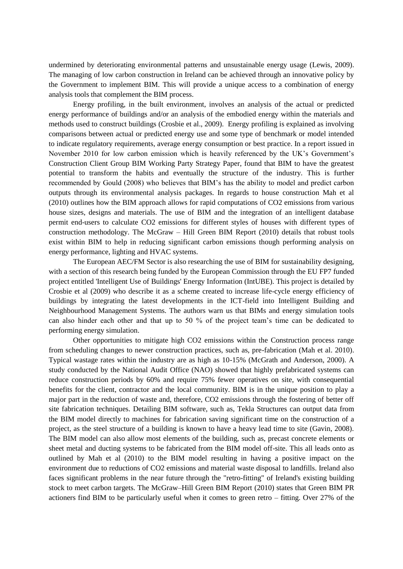undermined by deteriorating environmental patterns and unsustainable energy usage (Lewis, 2009). The managing of low carbon construction in Ireland can be achieved through an innovative policy by the Government to implement BIM. This will provide a unique access to a combination of energy analysis tools that complement the BIM process.

Energy profiling, in the built environment, involves an analysis of the actual or predicted energy performance of buildings and/or an analysis of the embodied energy within the materials and methods used to construct buildings (Crosbie et al., 2009). Energy profiling is explained as involving comparisons between actual or predicted energy use and some type of benchmark or model intended to indicate regulatory requirements, average energy consumption or best practice. In a report issued in November 2010 for low carbon emission which is heavily referenced by the UK's Government's Construction Client Group BIM Working Party Strategy Paper, found that BIM to have the greatest potential to transform the habits and eventually the structure of the industry. This is further recommended by Gould (2008) who believes that BIM's has the ability to model and predict carbon outputs through its environmental analysis packages. In regards to house construction Mah et al (2010) outlines how the BIM approach allows for rapid computations of CO2 emissions from various house sizes, designs and materials. The use of BIM and the integration of an intelligent database permit end-users to calculate CO2 emissions for different styles of houses with different types of construction methodology. The McGraw – Hill [Green BIM Report](http://images.autodesk.com/adsk/files/mhc_green_bim_smartmarket_report_(2010).pdf) (2010) details that robust tools exist within BIM to help in reducing significant carbon emissions though performing analysis on energy performance, lighting and HVAC systems.

The European AEC/FM Sector is also researching the use of BIM for sustainability designing, with a section of this research being funded by the European Commission through the EU FP7 funded project entitled 'Intelligent Use of Buildings' Energy Information (IntUBE). This project is detailed by Crosbie et al (2009) who describe it as a scheme created to increase life-cycle energy efficiency of buildings by integrating the latest developments in the ICT-field into Intelligent Building and Neighbourhood Management Systems. The authors warn us that BIMs and energy simulation tools can also hinder each other and that up to 50 % of the project team's time can be dedicated to performing energy simulation.

Other opportunities to mitigate high CO2 emissions within the Construction process range from scheduling changes to newer construction practices, such as, pre-fabrication (Mah et al. 2010). Typical wastage rates within the industry are as high as 10-15% (McGrath and Anderson, 2000). A study conducted by the National Audit Office (NAO) showed that highly prefabricated systems can reduce construction periods by 60% and require 75% fewer operatives on site, with consequential benefits for the client, contractor and the local community. BIM is in the unique position to play a major part in the reduction of waste and, therefore, CO2 emissions through the fostering of better off site fabrication techniques. Detailing BIM software, such as, Tekla Structures can output data from the BIM model directly to machines for fabrication saving significant time on the construction of a project, as the steel structure of a building is known to have a heavy lead time to site (Gavin, 2008). The BIM model can also allow most elements of the building, such as, precast concrete elements or sheet metal and ducting systems to be fabricated from the BIM model off-site. This all leads onto as outlined by Mah et al (2010) to the BIM model resulting in having a positive impact on the environment due to reductions of CO2 emissions and material waste disposal to landfills. Ireland also faces significant problems in the near future through the "retro-fitting" of Ireland's existing building stock to meet carbon targets. The McGraw–Hill [Green BIM Report](http://images.autodesk.com/adsk/files/mhc_green_bim_smartmarket_report_(2010).pdf) (2010) states that Green BIM PR actioners find BIM to be particularly useful when it comes to green retro – fitting. Over 27% of the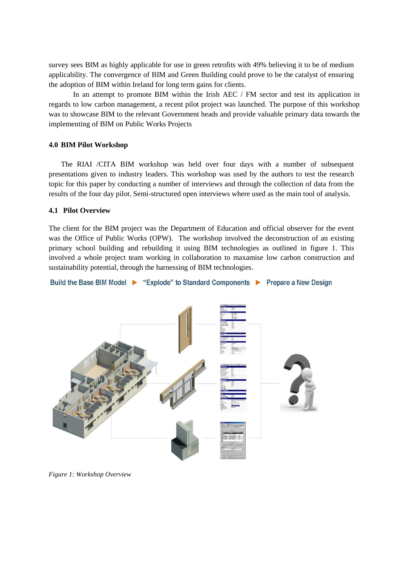survey sees BIM as highly applicable for use in green retrofits with 49% believing it to be of medium applicability. The convergence of BIM and Green Building could prove to be the catalyst of ensuring the adoption of BIM within Ireland for long term gains for clients.

In an attempt to promote BIM within the Irish AEC / FM sector and test its application in regards to low carbon management, a recent pilot project was launched. The purpose of this workshop was to showcase BIM to the relevant Government heads and provide valuable primary data towards the implementing of BIM on Public Works Projects

## **4.0 BIM Pilot Workshop**

The RIAI /CITA BIM workshop was held over four days with a number of subsequent presentations given to industry leaders. This workshop was used by the authors to test the research topic for this paper by conducting a number of interviews and through the collection of data from the results of the four day pilot. Semi-structured open interviews where used as the main tool of analysis.

### **4.1 Pilot Overview**

The client for the BIM project was the Department of Education and official observer for the event was the Office of Public Works (OPW). The workshop involved the deconstruction of an existing primary school building and rebuilding it using BIM technologies as outlined in figure 1. This involved a whole project team working in collaboration to maxamise low carbon construction and sustainability potential, through the harnessing of BIM technologies.

#### Build the Base BIM Model > "Explode" to Standard Components > Prepare a New Design



*Figure 1: Workshop Overview*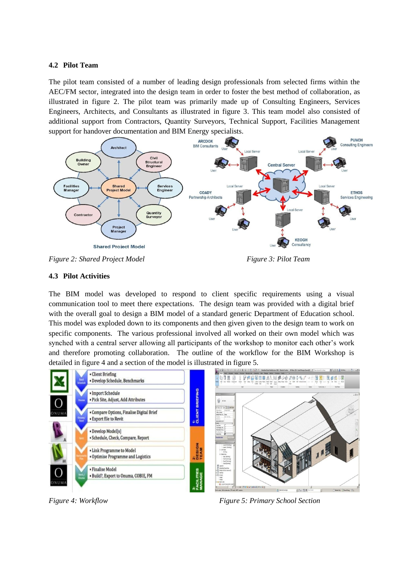## **4.2 Pilot Team**

The pilot team consisted of a number of leading design professionals from selected firms within the AEC/FM sector, integrated into the design team in order to foster the best method of collaboration, as illustrated in figure 2. The pilot team was primarily made up of Consulting Engineers, Services Engineers, Architects, and Consultants as illustrated in figure 3. This team model also consisted of additional support from Contractors, Quantity Surveyors, Technical Support, Facilities Management support for handover documentation and BIM Energy specialists.



*Figure 2: Shared Project Model* Figure 3: Pilot Team

## **4.3 Pilot Activities**

The BIM model was developed to respond to client specific requirements using a visual communication tool to meet there expectations. The design team was provided with a digital brief with the overall goal to design a BIM model of a standard generic Department of Education school. This model was exploded down to its components and then given given to the design team to work on specific components. The various professional involved all worked on their own model which was synched with a central server allowing all participants of the workshop to monitor each other's work and therefore promoting collaboration. The outline of the workflow for the BIM Workshop is detailed in figure 4 and a section of the model is illustrated in figure 5.



*Figure 4: Workflow Figure 5: Primary School Section*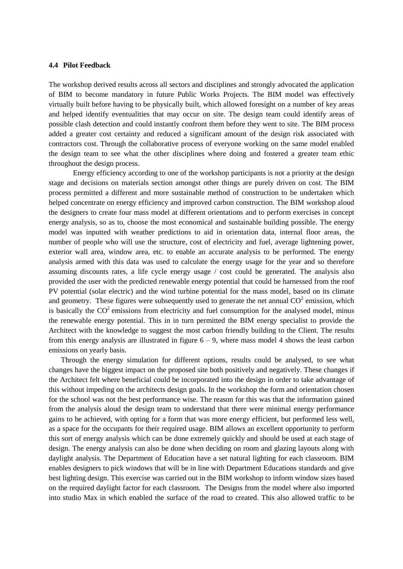#### **4.4 Pilot Feedback**

The workshop derived results across all sectors and disciplines and strongly advocated the application of BIM to become mandatory in future Public Works Projects. The BIM model was effectively virtually built before having to be physically built, which allowed foresight on a number of key areas and helped identify eventualities that may occur on site. The design team could identify areas of possible clash detection and could instantly confront them before they went to site. The BIM process added a greater cost certainty and reduced a significant amount of the design risk associated with contractors cost. Through the collaborative process of everyone working on the same model enabled the design team to see what the other disciplines where doing and fostered a greater team ethic throughout the design process.

Energy efficiency according to one of the workshop participants is not a priority at the design stage and decisions on materials section amongst other things are purely driven on cost. The BIM process permitted a different and more sustainable method of construction to be undertaken which helped concentrate on energy efficiency and improved carbon construction. The BIM workshop aloud the designers to create four mass model at different orientations and to perform exercises in concept energy analysis, so as to, choose the most economical and sustainable building possible. The energy model was inputted with weather predictions to aid in orientation data, internal floor areas, the number of people who will use the structure, cost of electricity and fuel, average lightening power, exterior wall area, window area, etc. to enable an accurate analysis to be performed. The energy analysis armed with this data was used to calculate the energy usage for the year and so therefore assuming discounts rates, a life cycle energy usage / cost could be generated. The analysis also provided the user with the predicted renewable energy potential that could be harnessed from the roof PV potential (solar electric) and the wind turbine potential for the mass model, based on its climate and geometry. These figures were subsequently used to generate the net annual  $CO<sup>2</sup>$  emission, which is basically the  $CO<sup>2</sup>$  emissions from electricity and fuel consumption for the analysed model, minus the renewable energy potential. This in in turn permitted the BIM energy specialist to provide the Architect with the knowledge to suggest the most carbon friendly building to the Client. The results from this energy analysis are illustrated in figure  $6 - 9$ , where mass model 4 shows the least carbon emissions on yearly basis.

Through the energy simulation for different options, results could be analysed, to see what changes have the biggest impact on the proposed site both positively and negatively. These changes if the Architect felt where beneficial could be incorporated into the design in order to take advantage of this without impeding on the architects design goals. In the workshop the form and orientation chosen for the school was not the best performance wise. The reason for this was that the information gained from the analysis aloud the design team to understand that there were minimal energy performance gains to be achieved, with opting for a form that was more energy efficient, but performed less well, as a space for the occupants for their required usage. BIM allows an excellent opportunity to perform this sort of energy analysis which can be done extremely quickly and should be used at each stage of design. The energy analysis can also be done when deciding on room and glazing layouts along with daylight analysis. The Department of Education have a set natural lighting for each classroom. BIM enables designers to pick windows that will be in line with Department Educations standards and give best lighting design. This exercise was carried out in the BIM workshop to inform window sizes based on the required daylight factor for each classroom. The Designs from the model where also imported into studio Max in which enabled the surface of the road to created. This also allowed traffic to be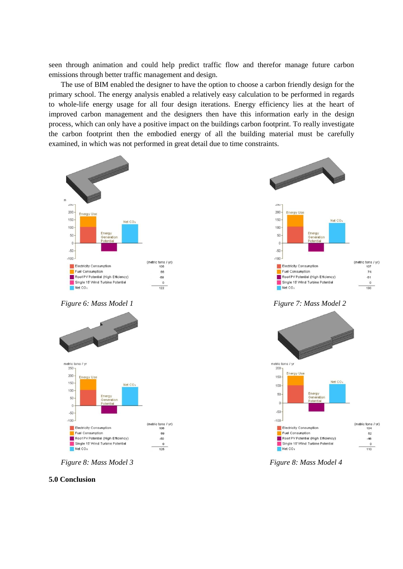seen through animation and could help predict traffic flow and therefor manage future carbon emissions through better traffic management and design.

The use of BIM enabled the designer to have the option to choose a carbon friendly design for the primary school. The energy analysis enabled a relatively easy calculation to be performed in regards to whole-life energy usage for all four design iterations. Energy efficiency lies at the heart of improved carbon management and the designers then have this information early in the design process, which can only have a positive impact on the buildings carbon footprint. To really investigate the carbon footprint then the embodied energy of all the building material must be carefully examined, in which was not performed in great detail due to time constraints.



*Figure 6: Mass Model 1 Figure 7: Mass Model 2*



## **5.0 Conclusion**





*Figure 8: Mass Model 3 Figure 8: Mass Model 4*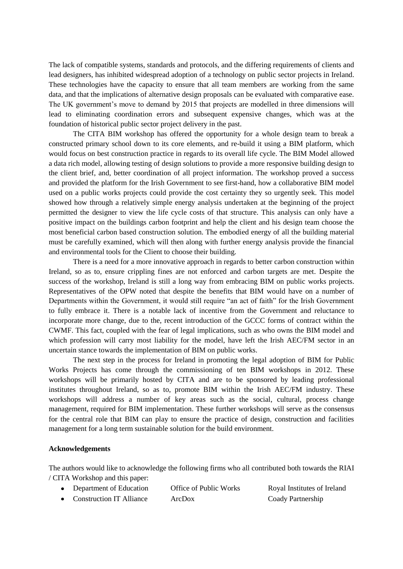The lack of compatible systems, standards and protocols, and the differing requirements of clients and lead designers, has inhibited widespread adoption of a technology on public sector projects in Ireland. These technologies have the capacity to ensure that all team members are working from the same data, and that the implications of alternative design proposals can be evaluated with comparative ease. The UK government's move to demand by 2015 that projects are modelled in three dimensions will lead to eliminating coordination errors and subsequent expensive changes, which was at the foundation of historical public sector project delivery in the past.

The CITA BIM workshop has offered the opportunity for a whole design team to break a constructed primary school down to its core elements, and re-build it using a BIM platform, which would focus on best construction practice in regards to its overall life cycle. The BIM Model allowed a data rich model, allowing testing of design solutions to provide a more responsive building design to the client brief, and, better coordination of all project information. The workshop proved a success and provided the platform for the Irish Government to see first-hand, how a collaborative BIM model used on a public works projects could provide the cost certainty they so urgently seek. This model showed how through a relatively simple energy analysis undertaken at the beginning of the project permitted the designer to view the life cycle costs of that structure. This analysis can only have a positive impact on the buildings carbon footprint and help the client and his design team choose the most beneficial carbon based construction solution. The embodied energy of all the building material must be carefully examined, which will then along with further energy analysis provide the financial and environmental tools for the Client to choose their building.

There is a need for a more innovative approach in regards to better carbon construction within Ireland, so as to, ensure crippling fines are not enforced and carbon targets are met. Despite the success of the workshop, Ireland is still a long way from embracing BIM on public works projects. Representatives of the OPW noted that despite the benefits that BIM would have on a number of Departments within the Government, it would still require "an act of faith" for the Irish Government to fully embrace it. There is a notable lack of incentive from the Government and reluctance to incorporate more change, due to the, recent introduction of the GCCC forms of contract within the CWMF. This fact, coupled with the fear of legal implications, such as who owns the BIM model and which profession will carry most liability for the model, have left the Irish AEC/FM sector in an uncertain stance towards the implementation of BIM on public works.

The next step in the process for Ireland in promoting the legal adoption of BIM for Public Works Projects has come through the commissioning of ten BIM workshops in 2012. These workshops will be primarily hosted by CITA and are to be sponsored by leading professional institutes throughout Ireland, so as to, promote BIM within the Irish AEC/FM industry. These workshops will address a number of key areas such as the [social, cultural, process change](http://www.cita.ie/3bimw.asp)  [management, required for BIM implementation.](http://www.cita.ie/3bimw.asp) These further workshops will serve as the consensus for the central role that BIM can play to ensure the practice of design, construction and facilities management for a long term sustainable solution for the build environment.

# **Acknowledgements**

The authors would like to acknowledge the following firms who all contributed both towards the RIAI / CITA Workshop and this paper:

- Department of Education Office of Public Works Royal Institutes of Ireland
- Construction IT Alliance ArcDox Coady Partnership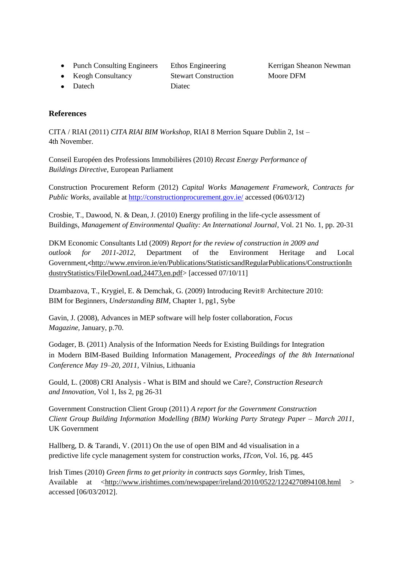- Punch Consulting Engineers Ethos Engineering Kerrigan Sheanon Newman
- Keogh Consultancy Stewart Construction Moore DFM

• Datech Diatec

# **References**

CITA / RIAI (2011) *CITA RIAI BIM Workshop*, RIAI 8 Merrion Square Dublin 2, 1st – 4th November.

Conseil Européen des Professions Immobilières (2010) *Recast Energy Performance of Buildings Directive,* European Parliament

Construction Procurement Reform (2012) *Capital Works Management Framework, Contracts for Public Works*, available at<http://constructionprocurement.gov.ie/> accessed (06/03/12)

Crosbie, T., Dawood, N. & Dean, J. (2010) Energy profiling in the life-cycle assessment of Buildings, *Management of Environmental Quality: An International Journal*, Vol. 21 No. 1, pp. 20-31

DKM Economic Consultants Ltd (2009) *Report for the review of construction in 2009 and outlook for 2011-2012,* Department of the Environment Heritage and Local Government,<[http://www.environ.ie/en/Publications/StatisticsandRegularPublications/ConstructionIn](http://www.environ.ie/en/Publications/StatisticsandRegularPublications/ConstructionIndustryStatistics/FileDownLoad,24473,en.pdf) [dustryStatistics/FileDownLoad,24473,en.pdf>](http://www.environ.ie/en/Publications/StatisticsandRegularPublications/ConstructionIndustryStatistics/FileDownLoad,24473,en.pdf) [accessed 07/10/11]

[Dzambazova, T., Krygiel, E. & Demchak,](http://www.wiley.com/WileyCDA/WileyTitle/productCd-047047355X,descCd-authorInfo.html) G. (2009) Introducing Revit® Architecture 2010: BIM for Beginners, *Understanding BIM,* Chapter 1, pg1, Sybe

Gavin, J. (2008), Advances in MEP software will help foster collaboration, *Focus Magazine,* January, p.70.

Godager, B. (2011) Analysis of the Information Needs for Existing Buildings for Integration in Modern BIM-Based Building Information Management, *Proceedings of the 8th International Conference May 19–20, 2011,* Vilnius, Lithuania

Gould, L. (2008) CRI Analysis - What is BIM and should we Care?, *Construction Research and Innovation,* Vol 1, Iss 2, pg 26-31

Government Construction Client Group (2011) *A report for the Government Construction Client Group Building Information Modelling (BIM) Working Party Strategy Paper – March 2011,*  UK Government

Hallberg, D. & Tarandi, V. (2011) On the use of open BIM and 4d visualisation in a predictive life cycle management system for construction works, *ITcon,* Vol. 16, pg. 445

Irish Times (2010) *Green firms to get priority in contracts says Gormley*, Irish Times, Available at [<http://www.irishtimes.com/newspaper/ireland/2010/0522/1224270894108.html](http://www.irishtimes.com/newspaper/ireland/2010/0522/1224270894108.html) > accessed [06/03/2012].